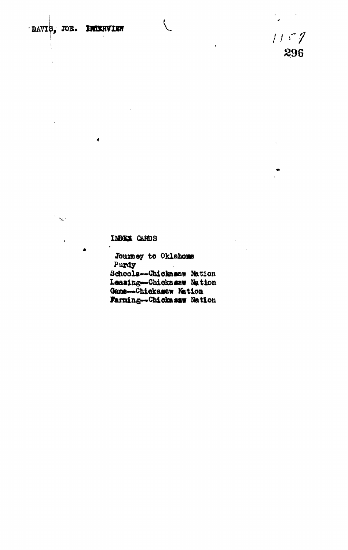DAVIB, JOE. INDERVIEW

 $\overline{\epsilon}$ 

 $\sim$   $\sim$ 

 $1157$ 296

## INDEX CARDS

Journey to Oklahoms Purdy Schools--Chickasaw Nation Leasing-Chickasaw Nation Game--Chickasaw Nation Farming--Chickasaw Nation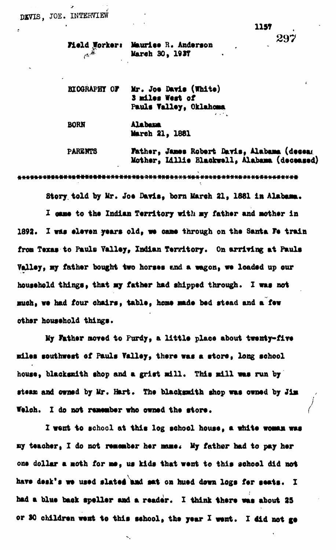297

|       | Field Worker: Maurice R. Anderson |
|-------|-----------------------------------|
| $A^*$ | March 30, 1937                    |

**BIOGRAPHY OF Mr. Joe Davis (White) 3 idles West of Pauls Tallsy, Oklahoma**

**BORH Alabama March 21 , 1881**

**PAKEHT8 father, Jams Robert Orris, Alabama (deeeai Mother, Ulllt Blaokwell, Alabama (deceased)**

**卷<del>光石管势势领荷情转换机构的情节</del>的传奇语称创作的景景诗诗的诗作的音乐的诗外光光·似特兴·休安长长音·转新女长诗·诗兴·长安·传传·传传·长安·诗** 

**Story, told by Mr. Jo\* Davis, born March 21, 1881 ia Alabama.** I came to the Indian Territory with my father and mother in 1892. I was eleven years old, we came through on the Santa Fe train from Texas to Pauls Valley, Indian Territory. On arriving at Pauls **Yallsy, uy father bought two horsos «nd a vagon, «• loadsd up our** household things, that my father had shipped through. I was not **much i wt had four ohairs, tabls, heas vads bod stoad and a fov** other household things.

**Hy Father noved to Purdy, a little place about twenty-five •ilos southwost of Pauls Tallsy, thsro was a storo, long school** house, blacksmith shop and a grist mill. This mill was run by stean and owned by Mr. Hart. The blacksmith shop was owned by Jim Welch. I do not remember who owned the store.

I went to school at this log school house, a white woman was **By teacher, I do not remember her mame. My father had to pay her one dollar a aoth for as, us kids that wont to this sohool did not havs dssk\*s ws ussd slated mad sat on husd down logs for seats. I had a blue bask spsller aad a reader. X think there was about 25 or 80 children wont to this school, the year X went. X did not go**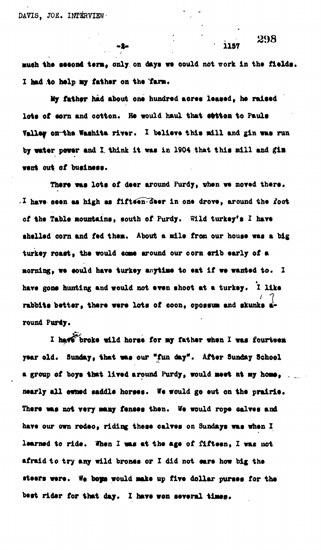much the second term, only on days we could not work in the fields. **I had to halp uj fathar on tha far».**

-2-

**My fathar had about ont hundred aoraa laaaad, ha ralsad** lots of sorn and cotton. He would haul that stiten to Pauls **Valley on the Washita river. I balieve this mill and gin was run by watar powar and I. think it waa in 1904 that thia mill and gin** went out of business.

There was lots of deer around Purdy, when we moved there. **I have seen as high as fifteen deer in one drove, around the foot of tha Tabla nountaina, south of Purdy. Wild turkay'a I hart ahallad corn and fad than. About a adla from our houaa wai a big turkay roaatf tba would aoaa around our oorn arib aarly of a** morning, we could have turkey anytime to eat if we wanted to. I have gone hunting and would not even shoot at a turkey. I like rabbits better, there were lots of coon, opossum and skunks around Purdy.

I have broke wild horse for my father when I was fourteen year old. Sunday, that was our "fun day". After Sunday School a group of boys that lived around Purdy, would meet at my home, nearly all owned saddle horses. We would go out on the prairie. **Thara waa not vary nany fanaas than. Va would ropa oalvae and hava our own rodao, riding thasa ealvaa on Sundaya waa whan I laarnad to rida. Whan I waa at tba aga of fiftaan, Z was not** afraid to try any wild brones or I did not care how big the **ataars wara. W« bops would aaka up fiya dollar puraas for tha bast ridar for that day. X hava won aararal tiaas.**

298

1157